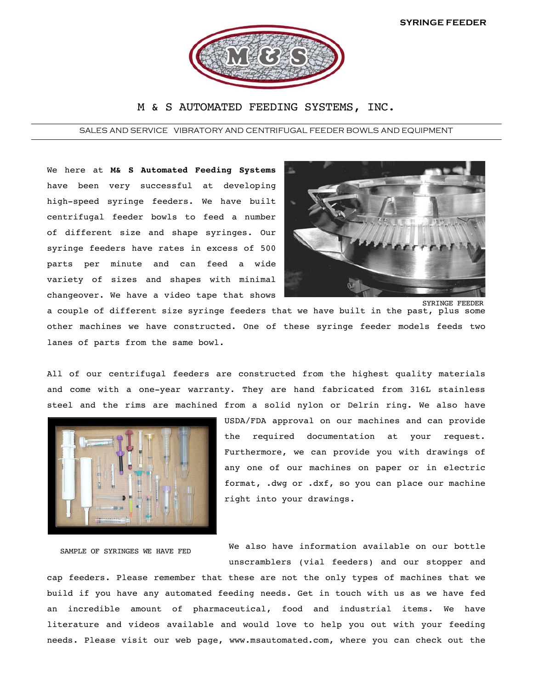

## M & S AUTOMATED FEEDING SYSTEMS, INC.

SALES AND SERVICE VIBRATORY AND CENTRIFUGAL FEEDER BOWLS AND EQUIPMENT

We here at **M& S Automated Feeding Systems** have been very successful at developing high-speed syringe feeders. We have built centrifugal feeder bowls to feed a number of different size and shape syringes. Our syringe feeders have rates in excess of 500 parts per minute and can feed a wide variety of sizes and shapes with minimal changeover. We have a video tape that shows



a couple of different size syringe feeders that we have built in the past, plus some other machines we have constructed. One of these syringe feeder models feeds two lanes of parts from the same bowl.

All of our centrifugal feeders are constructed from the highest quality materials and come with a one-year warranty. They are hand fabricated from 316L stainless steel and the rims are machined from a solid nylon or Delrin ring. We also have



SAMPLE OF SYRINGES WE HAVE FED

USDA/FDA approval on our machines and can provide the required documentation at your request. Furthermore, we can provide you with drawings of any one of our machines on paper or in electric format, .dwg or .dxf, so you can place our machine right into your drawings.

We also have information available on our bottle unscramblers (vial feeders) and our stopper and

cap feeders. Please remember that these are not the only types of machines that we build if you have any automated feeding needs. Get in touch with us as we have fed an incredible amount of pharmaceutical, food and industrial items. We have literature and videos available and would love to help you out with your feeding needs. Please visit our web page, www.msautomated.com, where you can check out the